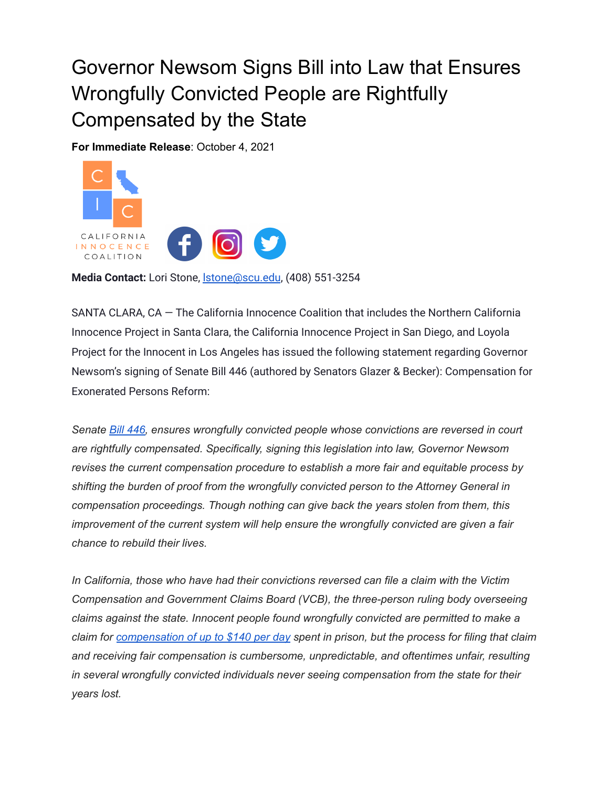## Governor Newsom Signs Bill into Law that Ensures Wrongfully Convicted People are Rightfully Compensated by the State

**For Immediate Release**: October 4, 2021



**Media Contact:** Lori Stone, [lstone@scu.edu](mailto:lstone@scu.edu), (408) 551-3254

SANTA CLARA, CA — The California Innocence Coalition that includes the Northern California Innocence Project in Santa Clara, the California Innocence Project in San Diego, and Loyola Project for the Innocent in Los Angeles has issued the following statement regarding Governor Newsom's signing of Senate Bill 446 (authored by Senators Glazer & Becker): Compensation for Exonerated Persons Reform:

*Senate Bill [446,](https://urldefense.com/v3/__https://leginfo.legislature.ca.gov/faces/billNavClient.xhtml?bill_id=202120220SB446__;!!MLMg-p0Z!Vr7R-5SE0l49WJg4qsqHeuqu-AfNp7HmZiv8_TF0mmSfzHWCwE-R4yHDNkGeCwZP$) ensures wrongfully convicted people whose convictions are reversed in court are rightfully compensated. Specifically, signing this legislation into law, Governor Newsom revises the current compensation procedure to establish a more fair and equitable process by shifting the burden of proof from the wrongfully convicted person to the Attorney General in compensation proceedings. Though nothing can give back the years stolen from them, this improvement of the current system will help ensure the wrongfully convicted are given a fair chance to rebuild their lives.*

*In California, those who have had their convictions reversed can file a claim with the Victim Compensation and Government Claims Board (VCB), the three-person ruling body overseeing claims against the state. Innocent people found wrongfully convicted are permitted to make a* claim for [compensation](https://urldefense.com/v3/__https://victims.ca.gov/board/pc4900.aspx__;!!MLMg-p0Z!Vr7R-5SE0l49WJg4qsqHeuqu-AfNp7HmZiv8_TF0mmSfzHWCwE-R4yHDNi2Xw4qQ$) of up to \$140 per day spent in prison, but the process for filing that claim *and receiving fair compensation is cumbersome, unpredictable, and oftentimes unfair, resulting in several wrongfully convicted individuals never seeing compensation from the state for their years lost.*